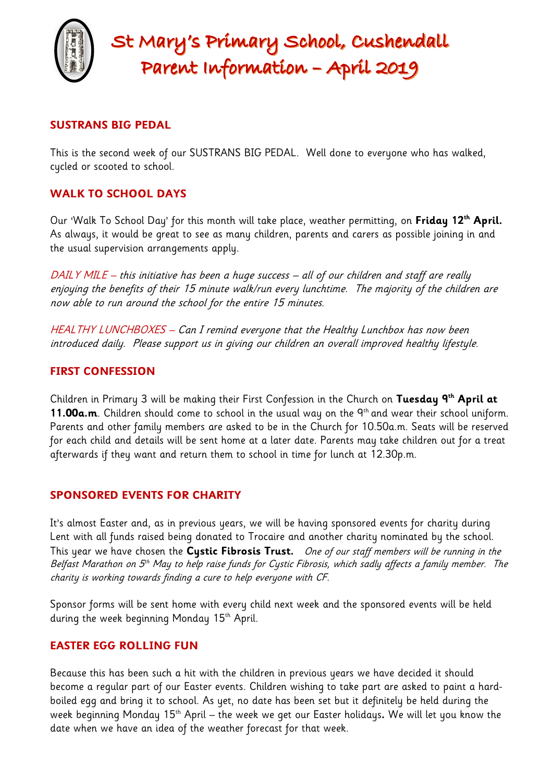

# St Mary's Primary School, Cushendall Parent Information - April 2019

## **SUSTRANS BIG PEDAL**

This is the second week of our SUSTRANS BIG PEDAL. Well done to everyone who has walked, cycled or scooted to school.

## **WALK TO SCHOOL DAYS**

Our 'Walk To School Day' for this month will take place, weather permitting, on **Friday 12th April.**  As always, it would be great to see as many children, parents and carers as possible joining in and the usual supervision arrangements apply.

DAILY MILE – this initiative has been a huge success – all of our children and staff are really enjoying the benefits of their 15 minute walk/run every lunchtime. The majority of the children are now able to run around the school for the entire 15 minutes.

HEALTHY LUNCHBOXES – Can I remind everyone that the Healthy Lunchbox has now been introduced daily. Please support us in giving our children an overall improved healthy lifestyle.

## **FIRST CONFESSION**

Children in Primary 3 will be making their First Confession in the Church on **Tuesday 9th April at**  11.00a.m. Children should come to school in the usual way on the 9<sup>th</sup> and wear their school uniform. Parents and other family members are asked to be in the Church for 10.50a.m. Seats will be reserved for each child and details will be sent home at a later date. Parents may take children out for a treat afterwards if they want and return them to school in time for lunch at 12.30p.m.

## **SPONSORED EVENTS FOR CHARITY**

It's almost Easter and, as in previous years, we will be having sponsored events for charity during Lent with all funds raised being donated to Trocaire and another charity nominated by the school. This year we have chosen the **Cystic Fibrosis Trust.** One of our staff members will be running in the Belfast Marathon on 5<sup>th</sup> May to help raise funds for Cystic Fibrosis, which sadly affects a family member. The charity is working towards finding a cure to help everyone with CF.

Sponsor forms will be sent home with every child next week and the sponsored events will be held during the week beginning Monday 15<sup>th</sup> April.

## **EASTER EGG ROLLING FUN**

Because this has been such a hit with the children in previous years we have decided it should become a regular part of our Easter events. Children wishing to take part are asked to paint a hardboiled egg and bring it to school. As yet, no date has been set but it definitely be held during the week beginning Monday 15th April – the week we get our Easter holidays**.** We will let you know the date when we have an idea of the weather forecast for that week.